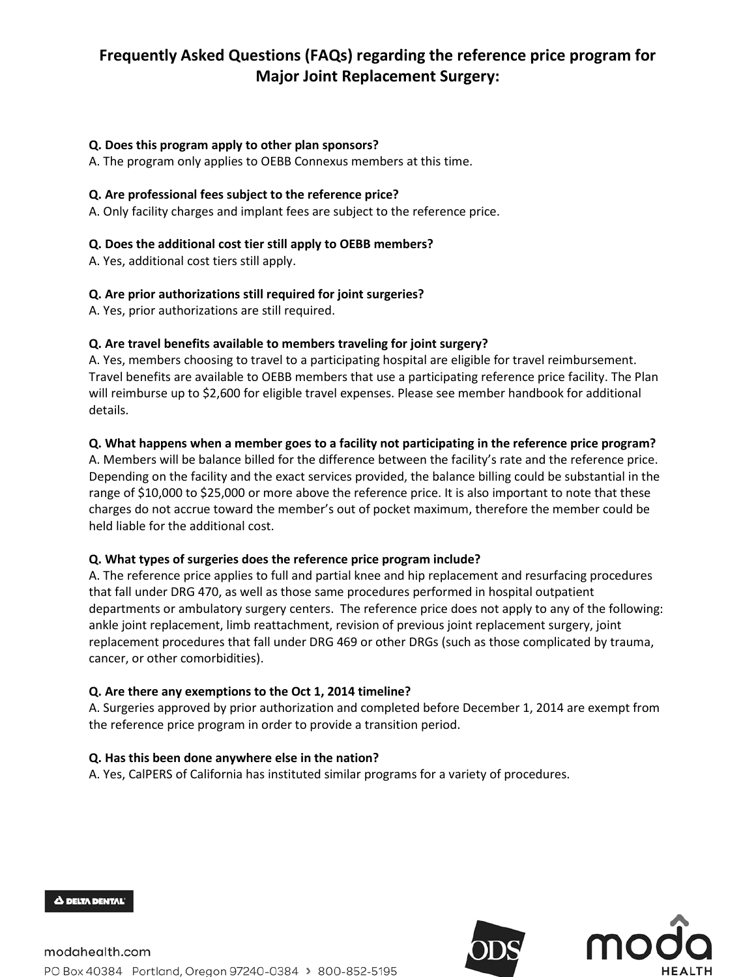# **Frequently Asked Questions (FAQs) regarding the reference price program for Major Joint Replacement Surgery:**

### **Q. Does this program apply to other plan sponsors?**

A. The program only applies to OEBB Connexus members at this time.

#### **Q. Are professional fees subject to the reference price?**

A. Only facility charges and implant fees are subject to the reference price.

#### **Q. Does the additional cost tier still apply to OEBB members?**

A. Yes, additional cost tiers still apply.

#### **Q. Are prior authorizations still required for joint surgeries?**

A. Yes, prior authorizations are still required.

#### **Q. Are travel benefits available to members traveling for joint surgery?**

A. Yes, members choosing to travel to a participating hospital are eligible for travel reimbursement. Travel benefits are available to OEBB members that use a participating reference price facility. The Plan will reimburse up to \$2,600 for eligible travel expenses. Please see member handbook for additional details.

#### **Q. What happens when a member goes to a facility not participating in the reference price program?**

A. Members will be balance billed for the difference between the facility's rate and the reference price. Depending on the facility and the exact services provided, the balance billing could be substantial in the range of \$10,000 to \$25,000 or more above the reference price. It is also important to note that these charges do not accrue toward the member's out of pocket maximum, therefore the member could be held liable for the additional cost.

#### **Q. What types of surgeries does the reference price program include?**

A. The reference price applies to full and partial knee and hip replacement and resurfacing procedures that fall under DRG 470, as well as those same procedures performed in hospital outpatient departments or ambulatory surgery centers. The reference price does not apply to any of the following: ankle joint replacement, limb reattachment, revision of previous joint replacement surgery, joint replacement procedures that fall under DRG 469 or other DRGs (such as those complicated by trauma, cancer, or other comorbidities).

#### **Q. Are there any exemptions to the Oct 1, 2014 timeline?**

A. Surgeries approved by prior authorization and completed before December 1, 2014 are exempt from the reference price program in order to provide a transition period.

#### **Q. Has this been done anywhere else in the nation?**

A. Yes, CalPERS of California has instituted similar programs for a variety of procedures.



Δ DELTA DENTAL'